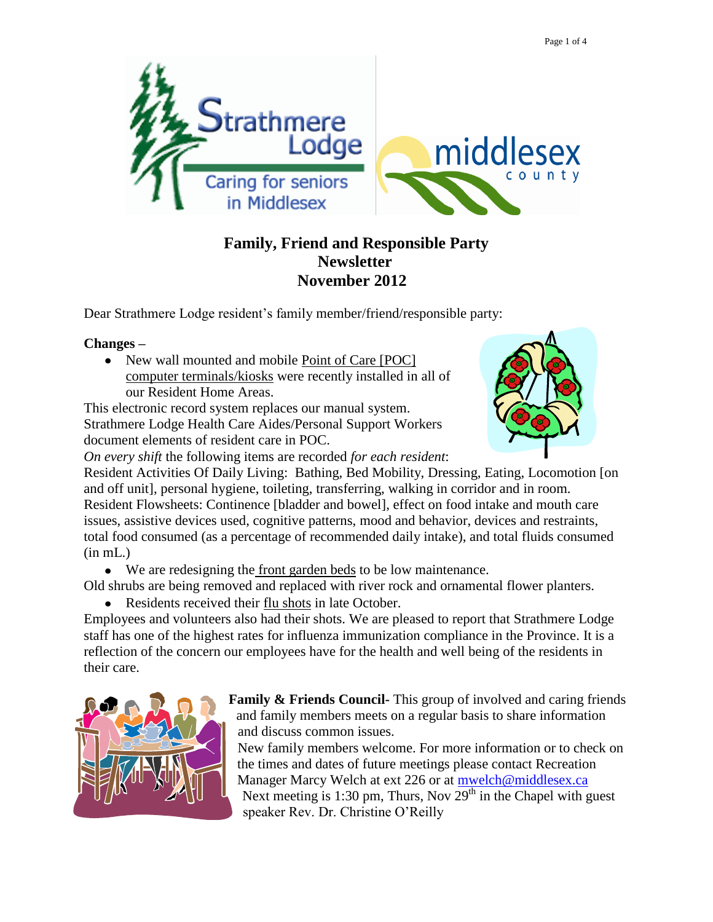

## **Family, Friend and Responsible Party Newsletter November 2012**

Dear Strathmere Lodge resident's family member/friend/responsible party:

## **Changes –**

• New wall mounted and mobile Point of Care [POC] computer terminals/kiosks were recently installed in all of our Resident Home Areas.

This electronic record system replaces our manual system. Strathmere Lodge Health Care Aides/Personal Support Workers document elements of resident care in POC.

*On every shift* the following items are recorded *for each resident*:

Resident Activities Of Daily Living: Bathing, Bed Mobility, Dressing, Eating, Locomotion [on and off unit], personal hygiene, toileting, transferring, walking in corridor and in room. Resident Flowsheets: Continence [bladder and bowel], effect on food intake and mouth care issues, assistive devices used, cognitive patterns, mood and behavior, devices and restraints, total food consumed (as a percentage of recommended daily intake), and total fluids consumed  $(in mL.)$ 

We are redesigning the front garden beds to be low maintenance.

Old shrubs are being removed and replaced with river rock and ornamental flower planters.

Residents received their flu shots in late October.

Employees and volunteers also had their shots. We are pleased to report that Strathmere Lodge staff has one of the highest rates for influenza immunization compliance in the Province. It is a reflection of the concern our employees have for the health and well being of the residents in their care.



**Family & Friends Council-** This group of involved and caring friends and family members meets on a regular basis to share information and discuss common issues.

New family members welcome. For more information or to check on the times and dates of future meetings please contact Recreation Manager Marcy Welch at ext 226 or at [mwelch@middlesex.ca](mailto:mwelch@middlesex.ca) Next meeting is 1:30 pm, Thurs, Nov  $29<sup>th</sup>$  in the Chapel with guest speaker Rev. Dr. Christine O'Reilly

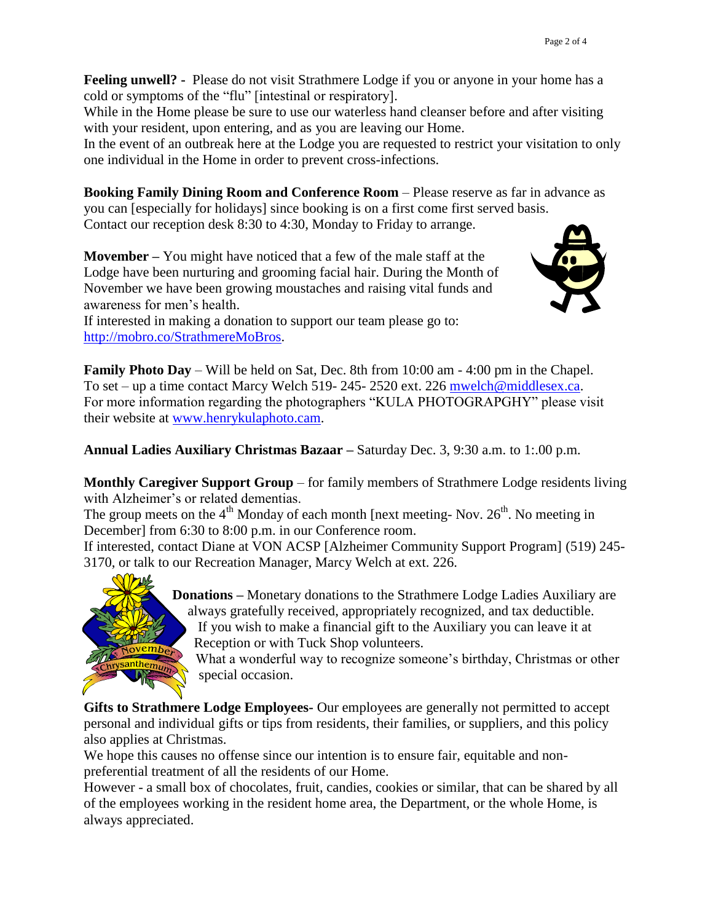**Feeling unwell? -** Please do not visit Strathmere Lodge if you or anyone in your home has a cold or symptoms of the "flu" [intestinal or respiratory].

While in the Home please be sure to use our waterless hand cleanser before and after visiting with your resident, upon entering, and as you are leaving our Home.

In the event of an outbreak here at the Lodge you are requested to restrict your visitation to only one individual in the Home in order to prevent cross-infections.

**Booking Family Dining Room and Conference Room** – Please reserve as far in advance as you can [especially for holidays] since booking is on a first come first served basis. Contact our reception desk 8:30 to 4:30, Monday to Friday to arrange.

**Movember –** You might have noticed that a few of the male staff at the Lodge have been nurturing and grooming facial hair. During the Month of November we have been growing moustaches and raising vital funds and awareness for men's health.



If interested in making a donation to support our team please go to: [http://mobro.co/StrathmereMoBros.](http://mobro.co/StrathmereMoBros)

**Family Photo Day** – Will be held on Sat, Dec. 8th from 10:00 am - 4:00 pm in the Chapel. To set – up a time contact Marcy Welch 519- 245- 2520 ext. 226 [mwelch@middlesex.ca.](mailto:mwelch@middlesex.ca) For more information regarding the photographers "KULA PHOTOGRAPGHY" please visit their website at [www.henrykulaphoto.cam.](http://www.henrykulaphoto.cam/)

**Annual Ladies Auxiliary Christmas Bazaar –** Saturday Dec. 3, 9:30 a.m. to 1:.00 p.m.

**Monthly Caregiver Support Group** – for family members of Strathmere Lodge residents living with Alzheimer's or related dementias.

The group meets on the  $4<sup>th</sup>$  Monday of each month [next meeting- Nov.  $26<sup>th</sup>$ . No meeting in December] from 6:30 to 8:00 p.m. in our Conference room.

If interested, contact Diane at VON ACSP [Alzheimer Community Support Program] (519) 245- 3170, or talk to our Recreation Manager, Marcy Welch at ext. 226.



**Donations –** Monetary donations to the Strathmere Lodge Ladies Auxiliary are always gratefully received, appropriately recognized, and tax deductible. If you wish to make a financial gift to the Auxiliary you can leave it at Reception or with Tuck Shop volunteers.

What a wonderful way to recognize someone's birthday, Christmas or other special occasion.

**Gifts to Strathmere Lodge Employees-** Our employees are generally not permitted to accept personal and individual gifts or tips from residents, their families, or suppliers, and this policy also applies at Christmas.

We hope this causes no offense since our intention is to ensure fair, equitable and nonpreferential treatment of all the residents of our Home.

However - a small box of chocolates, fruit, candies, cookies or similar, that can be shared by all of the employees working in the resident home area, the Department, or the whole Home, is always appreciated.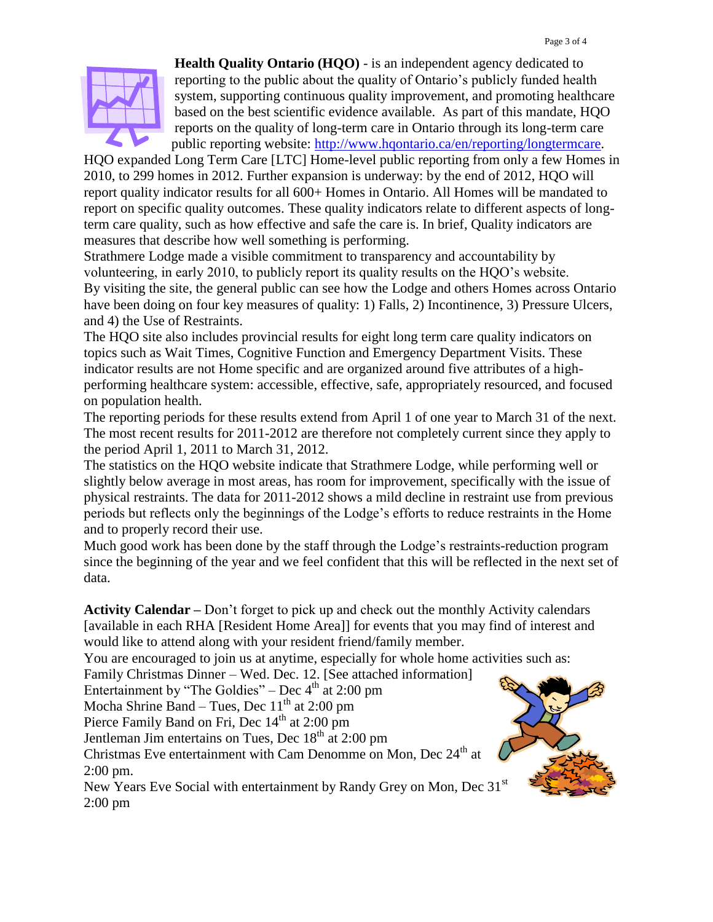

**Health Quality Ontario (HQO)** - is an independent agency dedicated to reporting to the public about the quality of Ontario's publicly funded health system, supporting continuous quality improvement, and promoting healthcare based on the best scientific evidence available. As part of this mandate, HQO reports on the quality of long-term care in Ontario through its long-term care public reporting website: [http://www.hqontario.ca/en/reporting/longtermcare.](file://srslsr204/torvidas/Council%20reports/--ESFSECEV-TY3013---------------------------------------------------------------------------)

HQO expanded Long Term Care [LTC] Home-level public reporting from only a few Homes in 2010, to 299 homes in 2012. Further expansion is underway: by the end of 2012, HQO will report quality indicator results for all 600+ Homes in Ontario. All Homes will be mandated to report on specific quality outcomes. These quality indicators relate to different aspects of longterm care quality, such as how effective and safe the care is. In brief, Quality indicators are measures that describe how well something is performing.

Strathmere Lodge made a visible commitment to transparency and accountability by volunteering, in early 2010, to publicly report its quality results on the HQO's website. By visiting the site, the general public can see how the Lodge and others Homes across Ontario have been doing on four key measures of quality: 1) Falls, 2) Incontinence, 3) Pressure Ulcers, and 4) the Use of Restraints.

The HQO site also includes provincial results for eight long term care quality indicators on topics such as Wait Times, Cognitive Function and Emergency Department Visits. These indicator results are not Home specific and are organized around five attributes of a highperforming healthcare system: accessible, effective, safe, appropriately resourced, and focused on population health.

The reporting periods for these results extend from April 1 of one year to March 31 of the next. The most recent results for 2011-2012 are therefore not completely current since they apply to the period April 1, 2011 to March 31, 2012.

The statistics on the HQO website indicate that Strathmere Lodge, while performing well or slightly below average in most areas, has room for improvement, specifically with the issue of physical restraints. The data for 2011-2012 shows a mild decline in restraint use from previous periods but reflects only the beginnings of the Lodge's efforts to reduce restraints in the Home and to properly record their use.

Much good work has been done by the staff through the Lodge's restraints-reduction program since the beginning of the year and we feel confident that this will be reflected in the next set of data.

**Activity Calendar –** Don't forget to pick up and check out the monthly Activity calendars [available in each RHA [Resident Home Area]] for events that you may find of interest and would like to attend along with your resident friend/family member.

You are encouraged to join us at anytime, especially for whole home activities such as:

Family Christmas Dinner – Wed. Dec. 12. [See attached information]

Entertainment by "The Goldies" – Dec  $4<sup>th</sup>$  at 2:00 pm

Mocha Shrine Band – Tues, Dec  $11<sup>th</sup>$  at 2:00 pm

Pierce Family Band on Fri, Dec 14<sup>th</sup> at 2:00 pm

Jentleman Jim entertains on Tues, Dec  $18<sup>th</sup>$  at 2:00 pm

Christmas Eve entertainment with Cam Denomme on Mon, Dec 24<sup>th</sup> at 2:00 pm.

New Years Eve Social with entertainment by Randy Grey on Mon, Dec 31<sup>st</sup> 2:00 pm